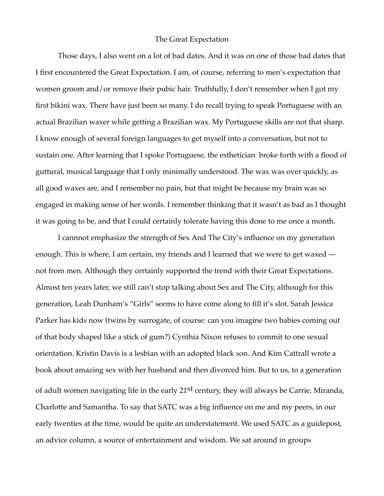## The Great Expectation

Those days, I also went on a lot of bad dates. And it was on one of those bad dates that I first encountered the Great Expectation. I am, of course, referring to men's expectation that women groom and/or remove their pubic hair. Truthfully, I don't remember when I got my first bikini wax. There have just been so many. I do recall trying to speak Portuguese with an actual Brazilian waxer while getting a Brazilian wax. My Portuguese skills are not that sharp. I know enough of several foreign languages to get myself into a conversation, but not to sustain one. After learning that I spoke Portuguese, the esthetician broke forth with a flood of guttural, musical language that I only minimally understood. The wax was over quickly, as all good waxes are, and I remember no pain, but that might be because my brain was so engaged in making sense of her words. I remember thinking that it wasn't as bad as I thought it was going to be, and that I could certainly tolerate having this done to me once a month.

I cannnot emphasize the strength of Sex And The City's influence on my generation enough. This is where, I am certain, my friends and I learned that we were to get waxed not from men. Although they certainly supported the trend with their Great Expectations. Almost ten years later, we still can't stop talking about Sex and The City, although for this generation, Leah Dunham's "Girls" seems to have come along to fill it's slot. Sarah Jessica Parker has kids now (twins by surrogate, of course: can you imagine two babies coming out of that body shaped like a stick of gum?) Cynthia Nixon refuses to commit to one sexual orientation. Kristin Davis is a lesbian with an adopted black son. And Kim Cattrall wrote a book about amazing sex with her husband and then divorced him. But to us, to a generation of adult women navigating life in the early 21<sup>st</sup> century, they will always be Carrie, Miranda, Charlotte and Samantha. To say that SATC was a big influence on me and my peers, in our early twenties at the time, would be quite an understatement. We used SATC as a guidepost, an advice column, a source of entertainment and wisdom. We sat around in groups